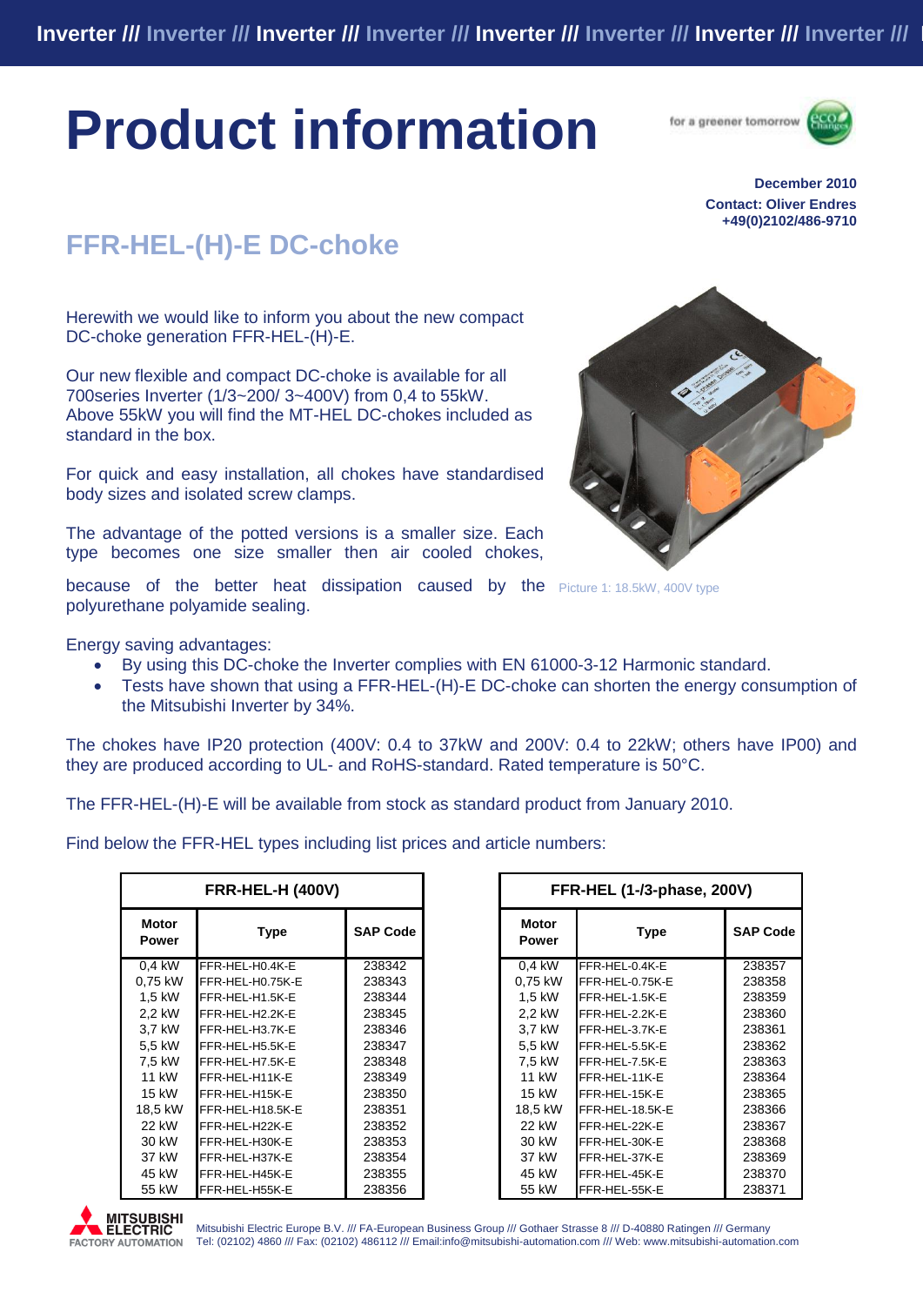# **Product information**





#### **December 2010 Contact: Oliver Endres +49(0)2102/486-9710**

## **FFR-HEL-(H)-E DC-choke**

Herewith we would like to inform you about the new compact DC-choke generation FFR-HEL-(H)-E.

Our new flexible and compact DC-choke is available for all 700series Inverter (1/3~200/ 3~400V) from 0,4 to 55kW. Above 55kW you will find the MT-HEL DC-chokes included as standard in the box.

For quick and easy installation, all chokes have standardised body sizes and isolated screw clamps.

The advantage of the potted versions is a smaller size. Each type becomes one size smaller then air cooled chokes,



because of the better heat dissipation caused by the Picture 1: 18.5kW, 400V type polyurethane polyamide sealing.

Energy saving advantages:

- By using this DC-choke the Inverter complies with EN 61000-3-12 Harmonic standard.
- Tests have shown that using a FFR-HEL-(H)-E DC-choke can shorten the energy consumption of the Mitsubishi Inverter by 34%.

The chokes have IP20 protection (400V: 0.4 to 37kW and 200V: 0.4 to 22kW; others have IP00) and they are produced according to UL- and RoHS-standard. Rated temperature is 50°C.

The FFR-HEL-(H)-E will be available from stock as standard product from January 2010.

Find below the FFR-HEL types including list prices and article numbers:

|                              | <b>FRR-HEL-H (400V)</b> |                 |                       | FFR-HEL (1-/3-phase, 200V) |                |
|------------------------------|-------------------------|-----------------|-----------------------|----------------------------|----------------|
| <b>Motor</b><br><b>Power</b> | <b>Type</b>             | <b>SAP Code</b> | <b>Motor</b><br>Power | <b>Type</b>                | <b>SAP Cod</b> |
| $0.4$ kW                     | FFR-HEL-H0.4K-E         | 238342          | $\overline{0}$ ,4 kW  | FFR-HEL-0.4K-E             | 238357         |
| 0,75 kW                      | FFR-HEL-H0.75K-E        | 238343          | 0,75 kW               | FFR-HEL-0.75K-E            | 238358         |
| 1,5 kW                       | FFR-HEL-H1.5K-E         | 238344          | 1.5 kW                | FFR-HEL-1.5K-E             | 238359         |
| 2.2 kW                       | FFR-HEL-H2.2K-E         | 238345          | 2.2 kW                | FFR-HEL-2.2K-E             | 238360         |
| 3,7 kW                       | FFR-HEL-H3.7K-E         | 238346          | 3.7 kW                | FFR-HEL-3.7K-E             | 238361         |
| 5,5 kW                       | FFR-HEL-H5.5K-E         | 238347          | 5.5 kW                | FFR-HEL-5.5K-E             | 238362         |
| 7.5 kW                       | FFR-HEL-H7.5K-E         | 238348          | 7.5 kW                | FFR-HEL-7.5K-E             | 238363         |
| 11 kW                        | FFR-HEL-H11K-E          | 238349          | 11 kW                 | FFR-HEL-11K-E              | 238364         |
| 15 kW                        | FFR-HEL-H15K-E          | 238350          | 15 kW                 | FFR-HEL-15K-E              | 238365         |
| 18,5 kW                      | FFR-HEL-H18.5K-E        | 238351          | 18,5 kW               | FFR-HEL-18.5K-E            | 238366         |
| 22 kW                        | FFR-HEL-H22K-E          | 238352          | 22 kW                 | FFR-HEL-22K-E              | 238367         |
| 30 kW                        | FFR-HEL-H30K-E          | 238353          | 30 kW                 | FFR-HEL-30K-E              | 238368         |
| 37 kW                        | FFR-HEL-H37K-E          | 238354          | 37 kW                 | FFR-HEL-37K-E              | 238369         |
| 45 kW                        | FFR-HEL-H45K-E          | 238355          | 45 kW                 | FFR-HEL-45K-E              | 238370         |
| 55 kW                        | FFR-HEL-H55K-E          | 238356          | 55 kW                 | FFR-HEL-55K-E              | 238371         |

|                       | <b>FRR-HEL-H (400V)</b> |                 |                              | FFR-HEL (1-/3-phase, 200V) |                 |
|-----------------------|-------------------------|-----------------|------------------------------|----------------------------|-----------------|
| Motor<br><b>Power</b> | <b>Type</b>             | <b>SAP Code</b> | <b>Motor</b><br><b>Power</b> | <b>Type</b>                | <b>SAP Code</b> |
| $0.4$ kW              | FFR-HEL-H0.4K-E         | 238342          | 0.4 kW                       | FFR-HEL-0.4K-E             | 238357          |
| 0.75 kW               | FFR-HEL-H0.75K-E        | 238343          | 0,75 kW                      | FFR-HEL-0.75K-E            | 238358          |
| 1,5 kW                | FFR-HEL-H1.5K-E         | 238344          | 1,5 kW                       | FFR-HEL-1.5K-E             | 238359          |
| 2,2 kW                | FFR-HEL-H2.2K-E         | 238345          | 2.2 kW                       | FFR-HEL-2.2K-E             | 238360          |
| 3,7 kW                | FFR-HEL-H3.7K-E         | 238346          | 3.7 kW                       | FFR-HEL-3.7K-E             | 238361          |
| 5,5 kW                | FFR-HEL-H5.5K-E         | 238347          | 5,5 kW                       | FFR-HEL-5.5K-E             | 238362          |
| 7.5 kW                | FFR-HEL-H7.5K-E         | 238348          | 7.5 kW                       | FFR-HEL-7.5K-E             | 238363          |
| 11 kW                 | FFR-HEL-H11K-E          | 238349          | 11 kW                        | FFR-HEL-11K-E              | 238364          |
| 15 kW                 | FFR-HEL-H15K-E          | 238350          | 15 kW                        | FFR-HEL-15K-E              | 238365          |
| 18.5 kW               | FFR-HEL-H18.5K-E        | 238351          | 18,5 kW                      | FFR-HEL-18.5K-E            | 238366          |
| 22 kW                 | FFR-HEL-H22K-E          | 238352          | 22 kW                        | FFR-HEL-22K-E              | 238367          |
| 30 kW                 | FFR-HEL-H30K-E          | 238353          | 30 kW                        | FFR-HEL-30K-E              | 238368          |
| 37 kW                 | FFR-HEL-H37K-E          | 238354          | 37 kW                        | FFR-HEL-37K-E              | 238369          |
| 45 kW                 | FFR-HEL-H45K-E          | 238355          | 45 kW                        | FFR-HEL-45K-E              | 238370          |
| 55 kW                 | FFR-HFI-H55K-F          | 238356          | 55 kW                        | FFR-HFL-55K-F              | 238371          |



Mitsubishi Electric Europe B.V. /// FA-European Business Group /// Gothaer Strasse 8 /// D-40880 Ratingen /// Germany Tel: (02102) 4860 /// Fax: (02102) 486112 /// Email:info@mitsubishi-automation.com /// Web: www.mitsubishi-automation.com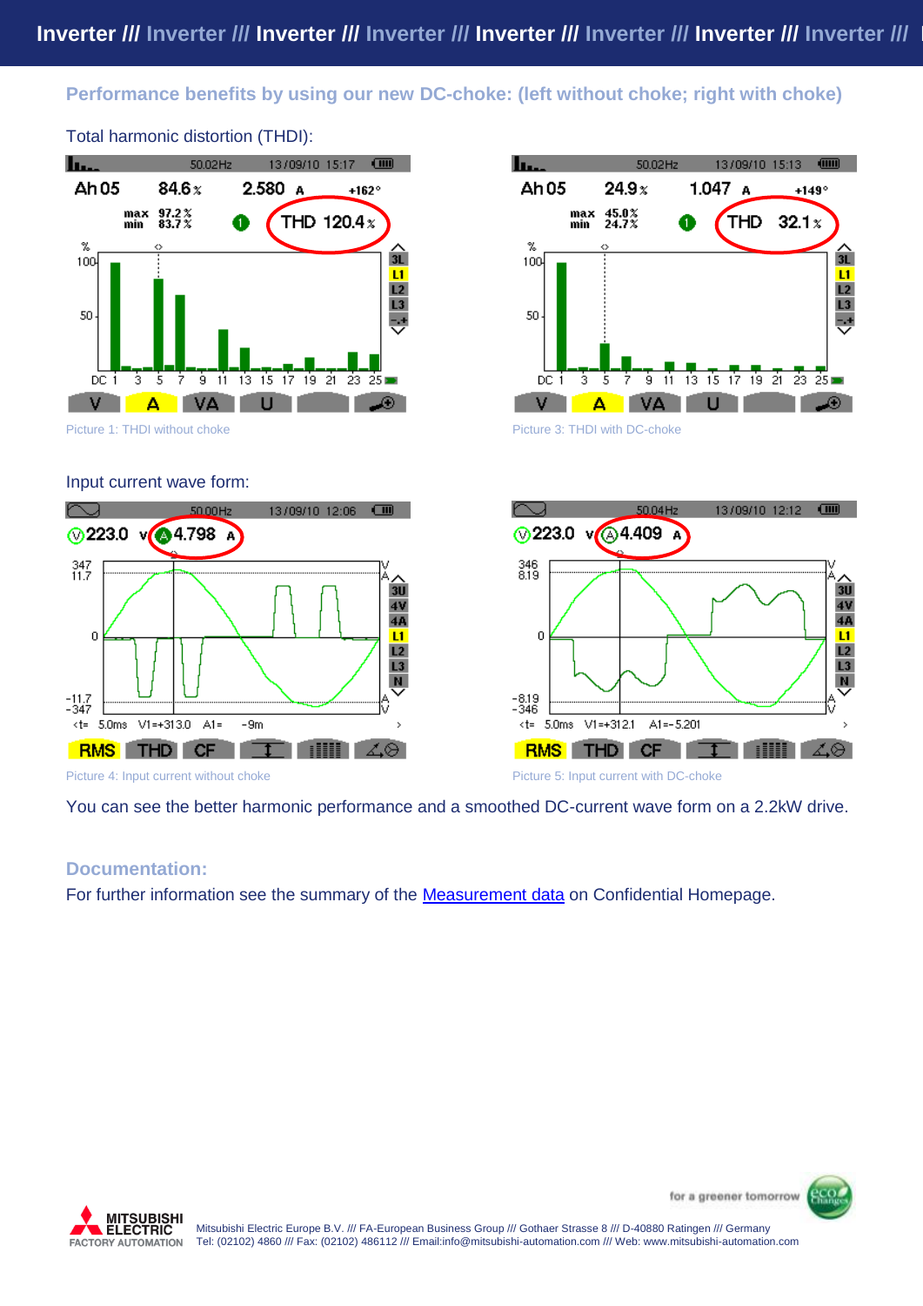#### **Performance benefits by using our new DC-choke: (left without choke; right with choke)**



Total harmonic distortion (THDI):









You can see the better harmonic performance and a smoothed DC-current wave form on a 2.2kW drive.

#### **Documentation:**

For further information see the summary of the [Measurement data](https://service.mitsubishi-automation.com/confi_products_show.php?p=4&c=1) on Confidential Homepage.



for a greener tomorrow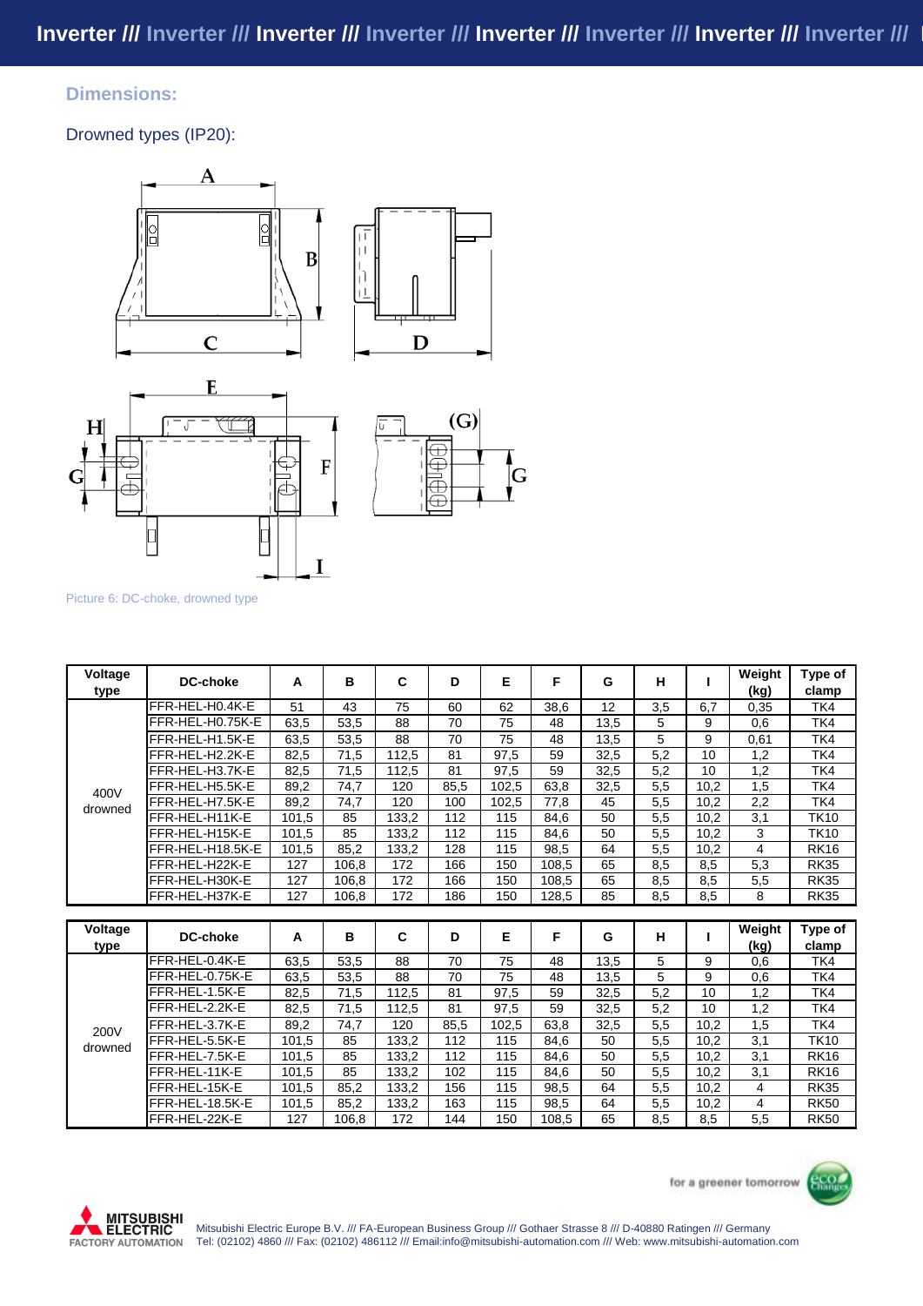#### **Dimensions:**

Drowned types (IP20):







Picture 6: DC-choke, drowned type

| Voltage<br>type | DC-choke         | A     | B     | C     | D    | Е     | F     | G    | н   |      | Weight<br>(kg) | Type of<br>clamp |
|-----------------|------------------|-------|-------|-------|------|-------|-------|------|-----|------|----------------|------------------|
|                 | FFR-HEL-H0.4K-E  | 51    | 43    | 75    | 60   | 62    | 38.6  | 12   | 3,5 | 6.7  | 0,35           | TK4              |
|                 | FFR-HEL-H0.75K-E | 63,5  | 53,5  | 88    | 70   | 75    | 48    | 13,5 | 5   | 9    | 0,6            | TK4              |
|                 | FFR-HEL-H1.5K-E  | 63.5  | 53.5  | 88    | 70   | 75    | 48    | 13,5 | 5   | 9    | 0,61           | TK4              |
|                 | FFR-HEL-H2.2K-E  | 82,5  | 71,5  | 112.5 | 81   | 97,5  | 59    | 32,5 | 5,2 | 10   | 1,2            | TK4              |
|                 | FFR-HEL-H3.7K-E  | 82.5  | 71.5  | 112.5 | 81   | 97,5  | 59    | 32,5 | 5.2 | 10   | 1.2            | TK4              |
| 400V            | FFR-HEL-H5.5K-E  | 89,2  | 74,7  | 120   | 85,5 | 102,5 | 63,8  | 32,5 | 5,5 | 10,2 | 1,5            | TK4              |
| drowned         | FFR-HEL-H7.5K-E  | 89,2  | 74,7  | 120   | 100  | 102,5 | 77,8  | 45   | 5,5 | 10,2 | 2,2            | TK4              |
|                 | FFR-HEL-H11K-E   | 101,5 | 85    | 133,2 | 112  | 115   | 84,6  | 50   | 5,5 | 10,2 | 3,1            | <b>TK10</b>      |
|                 | FFR-HEL-H15K-E   | 101.5 | 85    | 133.2 | 112  | 115   | 84.6  | 50   | 5,5 | 10.2 | 3              | <b>TK10</b>      |
|                 | FFR-HEL-H18.5K-E | 101,5 | 85,2  | 133,2 | 128  | 115   | 98.5  | 64   | 5,5 | 10,2 | 4              | <b>RK16</b>      |
|                 | FFR-HEL-H22K-E   | 127   | 106,8 | 172   | 166  | 150   | 108,5 | 65   | 8,5 | 8,5  | 5,3            | <b>RK35</b>      |
|                 | FFR-HEL-H30K-E   | 127   | 106,8 | 172   | 166  | 150   | 108,5 | 65   | 8,5 | 8,5  | 5,5            | <b>RK35</b>      |
|                 | FFR-HEL-H37K-E   | 127   | 106,8 | 172   | 186  | 150   | 128,5 | 85   | 8,5 | 8,5  | 8              | <b>RK35</b>      |
|                 |                  |       |       |       |      |       |       |      |     |      |                |                  |
| Voltage         | <b>DC-choke</b>  | А     | в     | C     | D    | Е     | F     | G    | Н   |      | Weight         | Type of          |
| type            |                  |       |       |       |      |       |       |      |     |      | (kg)           | clamp            |
|                 | FFR-HEL-0.4K-E   | 63,5  | 53,5  | 88    | 70   | 75    | 48    | 13,5 | 5   | 9    | 0,6            | TK4              |
|                 | FFR-HEL-0.75K-E  | 63,5  | 53,5  | 88    | 70   | 75    | 48    | 13,5 | 5   | 9    | 0,6            | TK4              |
|                 | FFR-HEL-1.5K-E   | 82,5  | 71,5  | 112,5 | 81   | 97,5  | 59    | 32,5 | 5,2 | 10   | 1,2            | TK4              |
|                 | FFR-HEL-2.2K-E   | 82,5  | 71,5  | 112,5 | 81   | 97,5  | 59    | 32,5 | 5,2 | 10   | 1,2            | TK4              |
|                 | FFR-HEL-3.7K-E   | 89,2  | 74,7  | 120   | 85.5 | 102,5 | 63.8  | 32,5 | 5,5 | 10.2 | 1,5            | TK4              |
| 200V<br>drowned | FFR-HEL-5.5K-E   | 101,5 | 85    | 133,2 | 112  | 115   | 84.6  | 50   | 5,5 | 10.2 | 3,1            | <b>TK10</b>      |
|                 | FFR-HEL-7.5K-E   | 101.5 | 85    | 133.2 | 112  | 115   | 84.6  | 50   | 5,5 | 10.2 | 3.1            | <b>RK16</b>      |
|                 | FFR-HEL-11K-E    | 101.5 | 85    | 133.2 | 102  | 115   | 84.6  | 50   | 5,5 | 10.2 | 3,1            | <b>RK16</b>      |
|                 | FFR-HEL-15K-E    | 101,5 | 85,2  | 133,2 | 156  | 115   | 98,5  | 64   | 5,5 | 10,2 | 4              | <b>RK35</b>      |
|                 | FFR-HEL-18.5K-E  | 101,5 | 85,2  | 133,2 | 163  | 115   | 98,5  | 64   | 5,5 | 10,2 | 4              | <b>RK50</b>      |
|                 | FFR-HEL-22K-E    | 127   | 106,8 | 172   | 144  | 150   | 108,5 | 65   | 8,5 | 8,5  | 5,5            | <b>RK50</b>      |



for a greener tomorrow

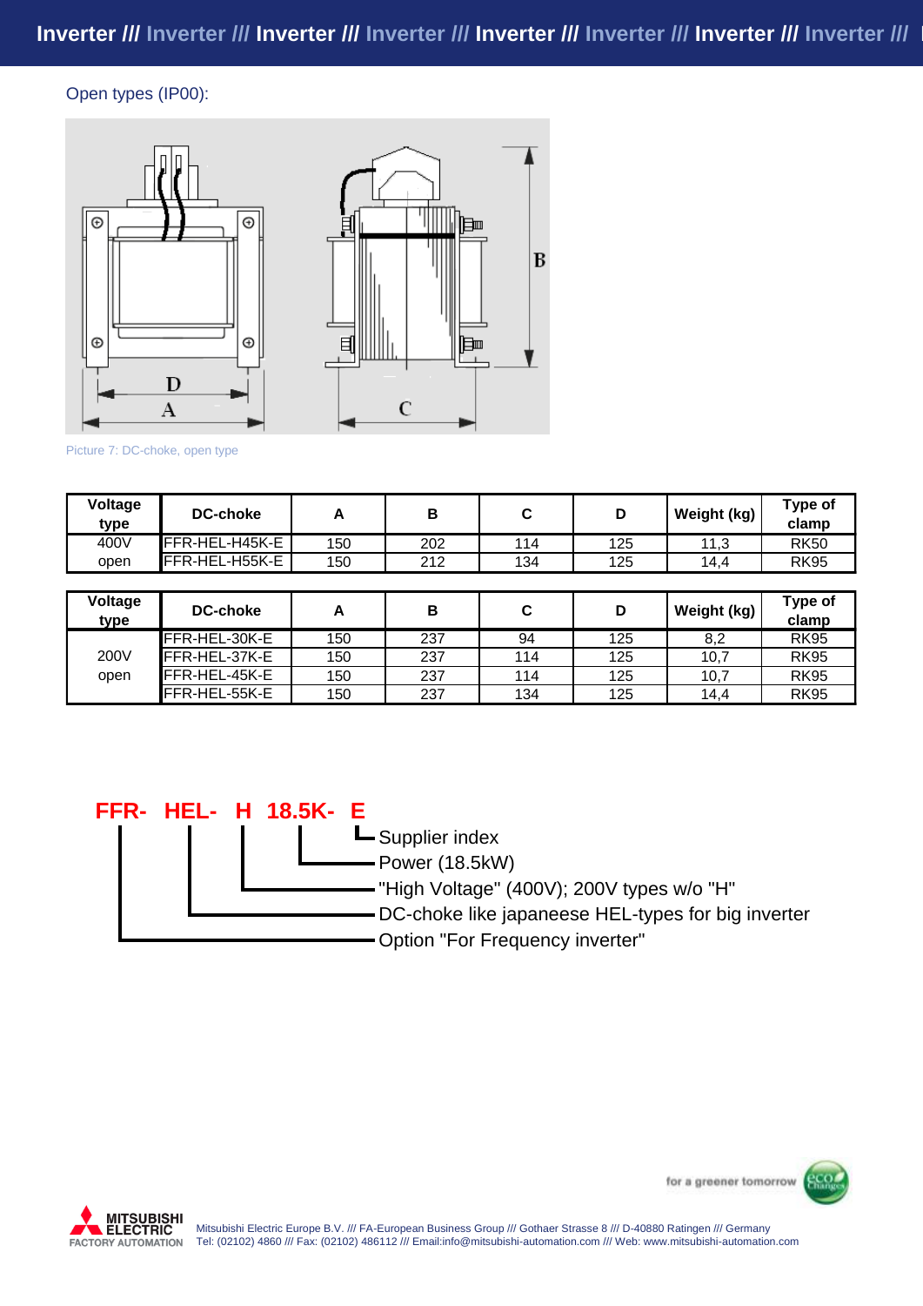#### Open types (IP00):





#### Picture 7: DC-choke, open type

| Voltage<br>type | <b>DC-choke</b> |     | D<br>в |     | D   | Weight (kg) | Type of<br>clamp |  |
|-----------------|-----------------|-----|--------|-----|-----|-------------|------------------|--|
| 400V            | FFR-HEL-H45K-E  | 150 | 202    | 114 | 125 | 112<br>ن, ا | <b>RK50</b>      |  |
| open            | IFFR-HEL-H55K-E | 150 | 212    | 134 | 125 | 14.4        | <b>RK95</b>      |  |

| Voltage<br>type | <b>DC-choke</b>       |     | в   |     | D   | Weight (kg) | Type of<br>clamp |
|-----------------|-----------------------|-----|-----|-----|-----|-------------|------------------|
|                 | IFFR-HEL-30K-E        | 150 | 237 | 94  | 125 | 8,2         | <b>RK95</b>      |
| 200V            | FFR-HEL-37K-E         | 150 | 237 | 114 | 125 | 10,7        | <b>RK95</b>      |
| open            | <b>IFFR-HEL-45K-E</b> | 150 | 237 | 114 | 125 | 10,7        | <b>RK95</b>      |
|                 | FFR-HEL-55K-E         | 150 | 237 | 134 | 125 | 14.4        | <b>RK95</b>      |

#### **18.5K- E FFR- HEL- H**